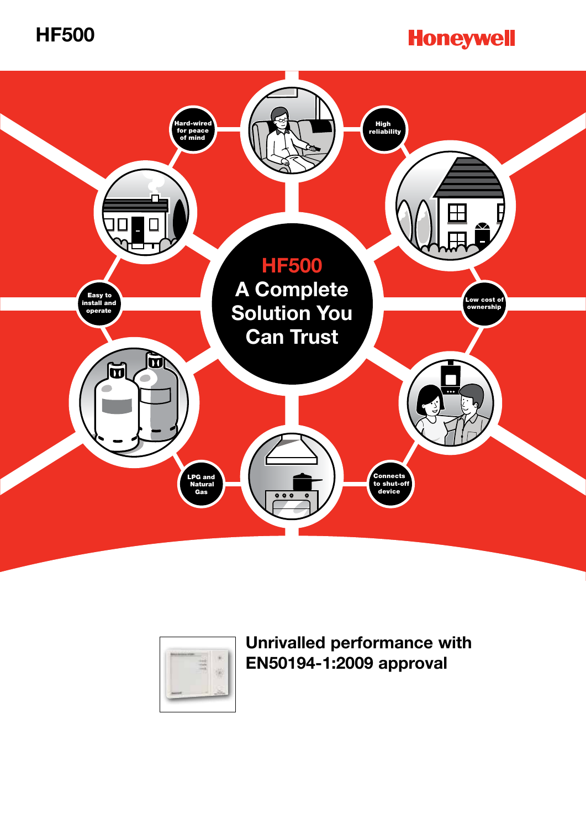

# **Honeywell**





**Unrivalled performance with EN50194-1:2009 approval**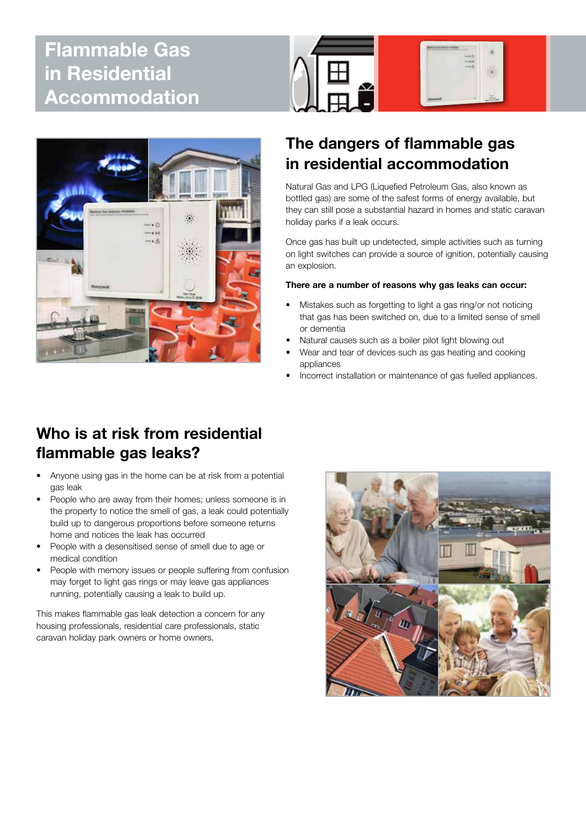## **Flammable Gas in Residential Accommodation**





## **The dangers of flammable gas in residential accommodation**

Natural Gas and LPG (Liquefied Petroleum Gas, also known as bottled gas) are some of the safest forms of energy available, but they can still pose a substantial hazard in homes and static caravan holiday parks if a leak occurs.

Once gas has built up undetected, simple activities such as turning on light switches can provide a source of ignition, potentially causing an explosion.

#### **There are a number of reasons why gas leaks can occur:**

- Mistakes such as forgetting to light a gas ring/or not noticing that gas has been switched on, due to a limited sense of smell or dementia
- Natural causes such as a boiler pilot light blowing out
- Wear and tear of devices such as gas heating and cooking appliances
- Incorrect installation or maintenance of gas fuelled appliances.

## **Who is at risk from residential flammable gas leaks?**

- Anyone using gas in the home can be at risk from a potential gas leak
- People who are away from their homes; unless someone is in the property to notice the smell of gas, a leak could potentially build up to dangerous proportions before someone returns home and notices the leak has occurred
- People with a desensitised sense of smell due to age or medical condition
- People with memory issues or people suffering from confusion may forget to light gas rings or may leave gas appliances running, potentially causing a leak to build up.

This makes flammable gas leak detection a concern for any housing professionals, residential care professionals, static caravan holiday park owners or home owners.

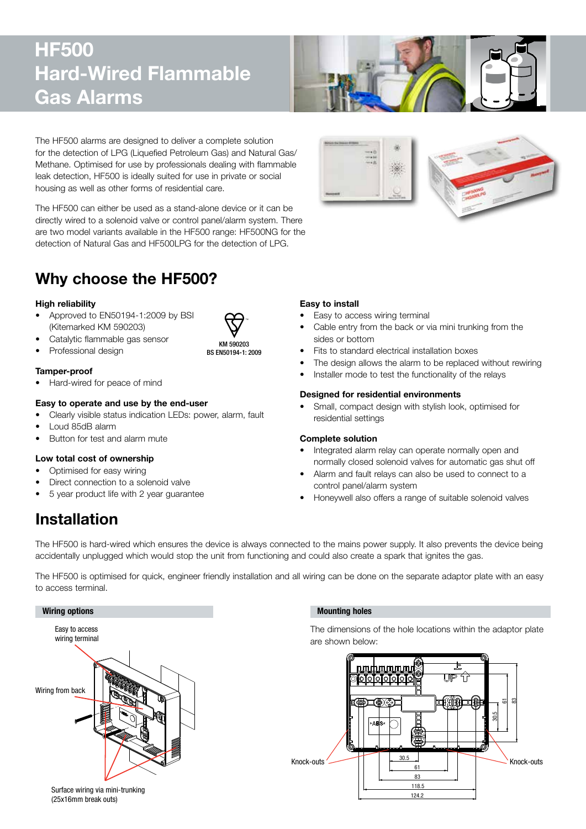## **HF500 Hard-Wired Flammable Gas Alarms**



The HF500 alarms are designed to deliver a complete solution for the detection of LPG (Liquefied Petroleum Gas) and Natural Gas/ Methane. Optimised for use by professionals dealing with flammable leak detection, HF500 is ideally suited for use in private or social housing as well as other forms of residential care.

The HF500 can either be used as a stand-alone device or it can be directly wired to a solenoid valve or control panel/alarm system. There are two model variants available in the HF500 range: HF500NG for the detection of Natural Gas and HF500LPG for the detection of LPG.

## **Why choose the HF500?**

#### **High reliability**

- Approved to EN50194-1:2009 by BSI (Kitemarked KM 590203)
- Catalytic flammable gas sensor
- Professional design



BS EN50194-1: 2009

### **Tamper-proof**

• Hard-wired for peace of mind

#### **Easy to operate and use by the end-user**

- Clearly visible status indication LEDs: power, alarm, fault
- • Loud 85dB alarm
- Button for test and alarm mute

#### **Low total cost of ownership**

- Optimised for easy wiring
- Direct connection to a solenoid valve
- 5 year product life with 2 year guarantee **Example 2 Example 18 years of the Hopewell** also

### **Easy to install**

- Easy to access wiring terminal
- Cable entry from the back or via mini trunking from the sides or bottom
- Fits to standard electrical installation boxes
- The design allows the alarm to be replaced without rewiring
- Installer mode to test the functionality of the relays

#### **Designed for residential environments**

Small, compact design with stylish look, optimised for residential settings

#### **Complete solution**

- Integrated alarm relay can operate normally open and normally closed solenoid valves for automatic gas shut off
- Alarm and fault relays can also be used to connect to a control panel/alarm system
- Honeywell also offers a range of suitable solenoid valves

## **Installation**

The HF500 is hard-wired which ensures the device is always connected to the mains power supply. It also prevents the device being accidentally unplugged which would stop the unit from functioning and could also create a spark that ignites the gas.

The HF500 is optimised for quick, engineer friendly installation and all wiring can be done on the separate adaptor plate with an easy to access terminal.



#### Surface wiring via mini-trunking (25x16mm break outs)

### THIS DOCUMENT HAS BEEN GENERATED USING AutoCAD

The dimensions of the hole locations within the adaptor plate are shown below:

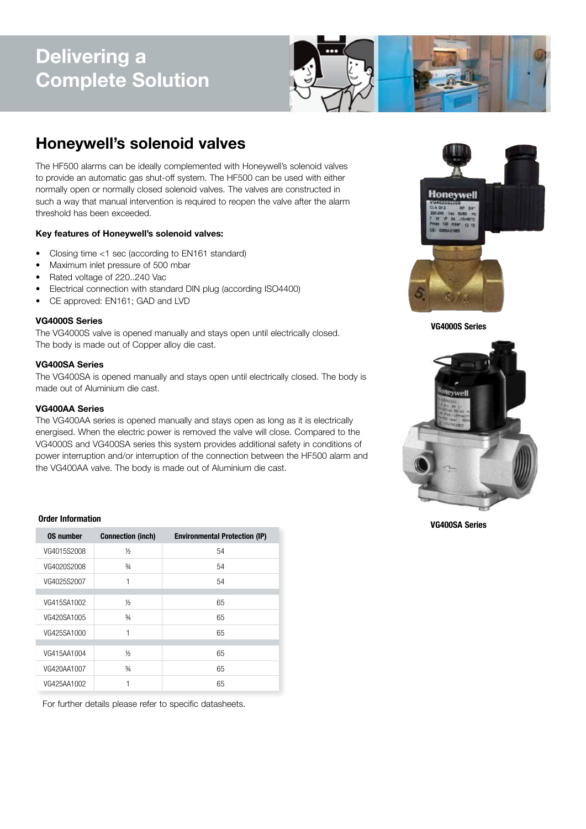# **Delivering a Complete Solution**



## **Honeywell's solenoid valves**

The HF500 alarms can be ideally complemented with Honeywell's solenoid valves to provide an automatic gas shut-off system. The HF500 can be used with either normally open or normally closed solenoid valves. The valves are constructed in such a way that manual intervention is required to reopen the valve after the alarm threshold has been exceeded.

#### **Key features of Honeywell's solenoid valves:**

- Closing time <1 sec (according to EN161 standard)
- Maximum inlet pressure of 500 mbar
- Rated voltage of 220..240 Vac
- Electrical connection with standard DIN plug (according ISO4400)
- CE approved: EN161; GAD and LVD

#### **VG4000S Series**

The VG4000S valve is opened manually and stays open until electrically closed. The body is made out of Copper alloy die cast.

#### **VG400SA Series**

The VG400SA is opened manually and stays open until electrically closed. The body is made out of Aluminium die cast.

#### **VG400AA Series**

The VG400AA series is opened manually and stays open as long as it is electrically energised. When the electric power is removed the valve will close. Compared to the VG4000S and VG400SA series this system provides additional safety in conditions of power interruption and/or interruption of the connection between the HF500 alarm and the VG400AA valve. The body is made out of Aluminium die cast.



#### **VG4000S Series**



#### **VG400SA Series**

#### **Order Information**

| <b>OS number</b> | <b>Connection (inch)</b> | <b>Environmental Protection (IP)</b> |
|------------------|--------------------------|--------------------------------------|
| VG4015S2008      | $\frac{1}{2}$            | 54                                   |
| VG4020S2008      | $\frac{3}{4}$            | 54                                   |
| VG4025S2007      |                          | 54                                   |
|                  |                          |                                      |
| VG415SA1002      | ⅓                        | 65                                   |
| VG420SA1005      | $\frac{3}{4}$            | 65                                   |
| VG425SA1000      |                          | 65                                   |
|                  |                          |                                      |
| VG415AA1004      | ⅛                        | 65                                   |
| VG420AA1007      | $\frac{3}{4}$            | 65                                   |
| VG425AA1002      |                          | 65                                   |

For further details please refer to specific datasheets.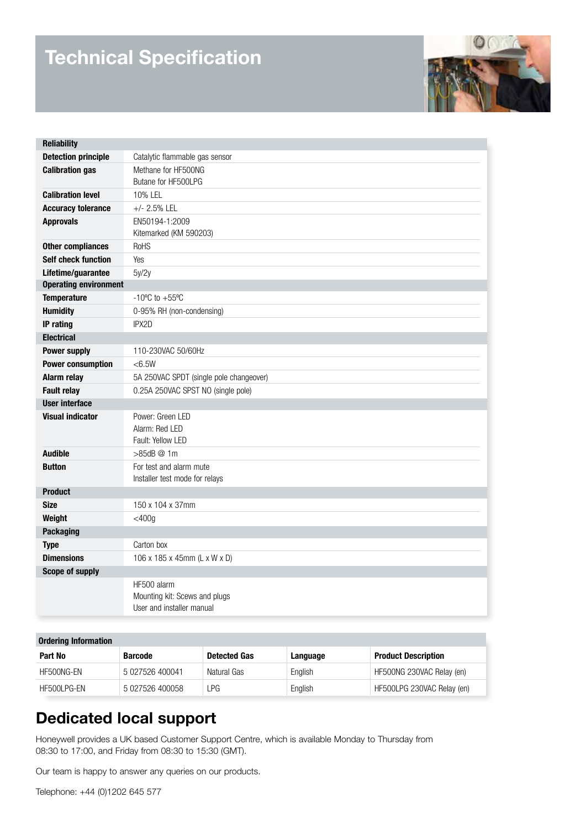# **Technical Specification**



| <b>Reliability</b>           |                                                                           |  |  |
|------------------------------|---------------------------------------------------------------------------|--|--|
| <b>Detection principle</b>   | Catalytic flammable gas sensor                                            |  |  |
| <b>Calibration gas</b>       | Methane for HF500NG<br>Butane for HF500LPG                                |  |  |
| <b>Calibration level</b>     | 10% LEL                                                                   |  |  |
| <b>Accuracy tolerance</b>    | $+/- 2.5\%$ LEL                                                           |  |  |
| <b>Approvals</b>             | EN50194-1:2009<br>Kitemarked (KM 590203)                                  |  |  |
| <b>Other compliances</b>     | <b>RoHS</b>                                                               |  |  |
| <b>Self check function</b>   | <b>Yes</b>                                                                |  |  |
| Lifetime/guarantee           | 5y/2y                                                                     |  |  |
| <b>Operating environment</b> |                                                                           |  |  |
| <b>Temperature</b>           | $-10^{\circ}$ C to $+55^{\circ}$ C                                        |  |  |
| <b>Humidity</b>              | 0-95% RH (non-condensing)                                                 |  |  |
| <b>IP</b> rating             | IPX2D                                                                     |  |  |
| <b>Electrical</b>            |                                                                           |  |  |
| <b>Power supply</b>          | 110-230VAC 50/60Hz                                                        |  |  |
| <b>Power consumption</b>     | <6.5W                                                                     |  |  |
| Alarm relay                  | 5A 250VAC SPDT (single pole changeover)                                   |  |  |
| <b>Fault relay</b>           | 0.25A 250VAC SPST NO (single pole)                                        |  |  |
| <b>User interface</b>        |                                                                           |  |  |
| <b>Visual indicator</b>      | Power: Green LED<br>Alarm: Red LED<br>Fault: Yellow LED                   |  |  |
| <b>Audible</b>               | >85dB @ 1m                                                                |  |  |
| <b>Button</b>                | For test and alarm mute<br>Installer test mode for relays                 |  |  |
| <b>Product</b>               |                                                                           |  |  |
| <b>Size</b>                  | 150 x 104 x 37mm                                                          |  |  |
| Weight                       | $<$ 400g                                                                  |  |  |
| <b>Packaging</b>             |                                                                           |  |  |
| <b>Type</b>                  | Carton box                                                                |  |  |
| <b>Dimensions</b>            | 106 x 185 x 45mm (L x W x D)                                              |  |  |
| <b>Scope of supply</b>       |                                                                           |  |  |
|                              | HF500 alarm<br>Mounting kit: Scews and plugs<br>User and installer manual |  |  |

| <b>Ordering Information</b> |                 |                     |          |                            |  |  |
|-----------------------------|-----------------|---------------------|----------|----------------------------|--|--|
| Part No                     | <b>Barcode</b>  | <b>Detected Gas</b> | Language | <b>Product Description</b> |  |  |
| HF500NG-EN                  | 5 027526 400041 | Natural Gas         | English  | HF500NG 230VAC Relay (en)  |  |  |
| HF500LPG-EN                 | 5 027526 400058 | ∟PG                 | English  | HF500LPG 230VAC Relay (en) |  |  |

## **Dedicated local support**

Honeywell provides a UK based Customer Support Centre, which is available Monday to Thursday from 08:30 to 17:00, and Friday from 08:30 to 15:30 (GMT).

Our team is happy to answer any queries on our products.

Telephone: +44 (0)1202 645 577